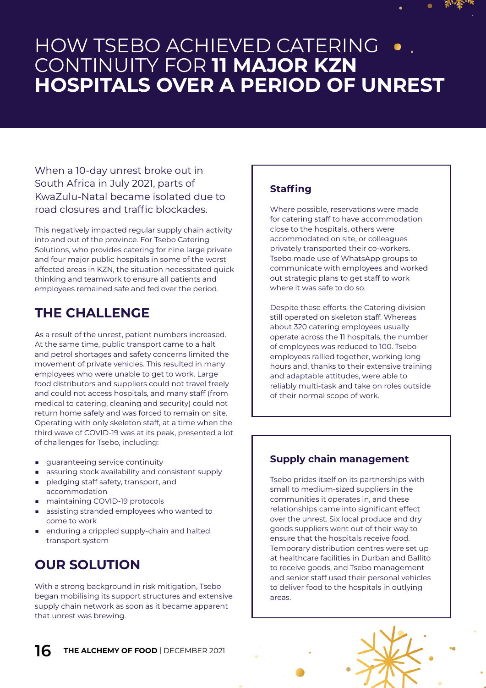# HOW TSEBO ACHIEVED CATERING . CONTINUITY FOR **11 MAJOR KZN HOSPITALS OVER A PERIOD OF UNREST**

#### When a 10-day unrest broke out in South Africa in July 2021, parts of KwaZulu-Natal became isolated due to road closures and traffic blockades.

This negatively impacted regular supply chain activity into and out of the province. For Tsebo Catering Solutions, who provides catering for nine large private and four major public hospitals in some of the worst affected areas in KZN, the situation necessitated quick thinking and teamwork to ensure all patients and employees remained safe and fed over the period.

## **THE CHALLENGE**

As a result of the unrest, patient numbers increased. At the same time, public transport came to a halt and petrol shortages and safety concerns limited the movement of private vehicles. This resulted in many employees who were unable to get to work. Large food distributors and suppliers could not travel freely and could not access hospitals, and many staff (from medical to catering, cleaning and security) could not return home safely and was forced to remain on site. Operating with only skeleton staff, at a time when the third wave of COVID-19 was at its peak, presented a lot of challenges for Tsebo, including:

- quaranteeing service continuity
- assuring stock availability and consistent supply
- pledging staff safety, transport, and accommodation
- maintaining COVID-19 protocols
- assisting stranded employees who wanted to come to work
- enduring a crippled supply-chain and halted transport system

## **OUR SOLUTION**

With a strong background in risk mitigation, Tsebo began mobilising its support structures and extensive supply chain network as soon as it became apparent that unrest was brewing.

#### **Staffing**

Where possible, reservations were made for catering staff to have accommodation close to the hospitals, others were accommodated on site, or colleagues privately transported their co-workers. Tsebo made use of WhatsApp groups to communicate with employees and worked out strategic plans to get staff to work where it was safe to do so.

Despite these efforts, the Catering division still operated on skeleton staff. Whereas about 320 catering employees usually operate across the 11 hospitals, the number of employees was reduced to 100. Tsebo employees rallied together, working long hours and, thanks to their extensive training and adaptable attitudes, were able to reliably multi-task and take on roles outside of their normal scope of work.

#### **Supply chain management**

Tsebo prides itself on its partnerships with small to medium-sized suppliers in the communities it operates in, and these relationships came into significant effect over the unrest. Six local produce and dry goods suppliers went out of their way to ensure that the hospitals receive food. Temporary distribution centres were set up at healthcare facilities in Durban and Ballito to receive goods, and Tsebo management and senior staff used their personal vehicles to deliver food to the hospitals in outlying areas